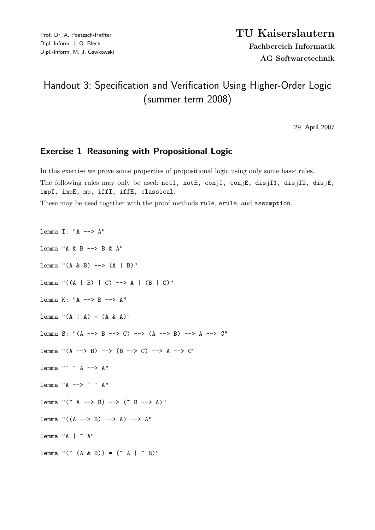## Handout 3: Specification and Verification Using Higher-Order Logic (summer term 2008)

29. April 2007

## Exercise 1 Reasoning with Propositional Logic

In this exercise we prove some properties of propositional logic using only some basic rules. The following rules may only be used: notI, notE, conjI, conjE, disjI1, disjI2, disjE, impI, impE, mp, iffI, iffE, classical.

These may be used together with the proof methods rule, erule, and assumption.

lemma I: "A --> A" lemma "A & B --> B & A" lemma " $(A & B)$  -->  $(A | B)$ "  $lemma "((A | B) | C) \longrightarrow A | (B | C)"$ lemma K: "A --> B --> A"  $l$ emma " $(A | A) = (A \& A)$ " lemma S: " $(A \rightarrow B \rightarrow C) \rightarrow (A \rightarrow B) \rightarrow A \rightarrow C"$ lemma " $(A \rightarrow B) \rightarrow (B \rightarrow > C) \rightarrow A \rightarrow C$ " lemma "~ ~ A --> A" lemma "A  $\rightarrow$  ~ ~ A" lemma "(" A --> B) --> (" B --> A)" lemma " $((A \dashrightarrow B) \dashrightarrow A) \dashrightarrow A$ "  $l$ emma "A |  $\tilde{a}$  A" lemma "("  $(A \& B)$ ) = ("  $A | " B)$ "